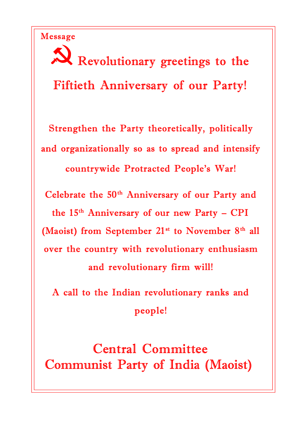Message

Revolutionary greetings to the Fiftieth Anniversary of our Party!

Strengthen the Party theoretically, politically and organizationally so as to spread and intensify countrywide Protracted People's War!

Celebrate the 50<sup>th</sup> Anniversary of our Party and the 15<sup>th</sup> Anniversary of our new Party - CPI (Maoist) from September  $21^{st}$  to November  $8^{th}$  all over the country with revolutionary enthusiasm and revolutionary firm will!

A call to the Indian revolutionary ranks and people!

Central Committee Communist Party of India (Maoist)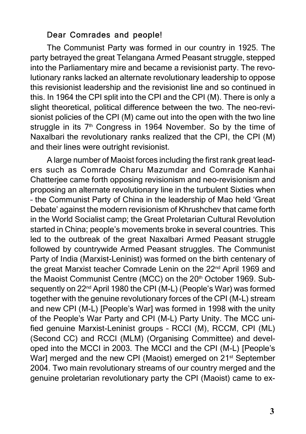## Dear Comrades and people!

The Communist Party was formed in our country in 1925. The party betrayed the great Telangana Armed Peasant struggle, stepped into the Parliamentary mire and became a revisionist party. The revolutionary ranks lacked an alternate revolutionary leadership to oppose this revisionist leadership and the revisionist line and so continued in this. In 1964 the CPI split into the CPI and the CPI (M). There is only a slight theoretical, political difference between the two. The neo-revisionist policies of the CPI (M) came out into the open with the two line struggle in its 7<sup>th</sup> Congress in 1964 November. So by the time of Naxalbari the revolutionary ranks realized that the CPI, the CPI (M) and their lines were outright revisionist.

A large number of Maoist forces including the first rank great leaders such as Comrade Charu Mazumdar and Comrade Kanhai Chatterjee came forth opposing revisionism and neo-revisionism and proposing an alternate revolutionary line in the turbulent Sixties when – the Communist Party of China in the leadership of Mao held 'Great Debate' against the modern revisionism of Khrushchev that came forth in the World Socialist camp; the Great Proletarian Cultural Revolution started in China; people's movements broke in several countries. This led to the outbreak of the great Naxalbari Armed Peasant struggle followed by countrywide Armed Peasant struggles. The Communist Party of India (Marxist-Leninist) was formed on the birth centenary of the great Marxist teacher Comrade Lenin on the 22<sup>nd</sup> April 1969 and the Maoist Communist Centre (MCC) on the 20<sup>th</sup> October 1969. Subsequently on 22<sup>nd</sup> April 1980 the CPI (M-L) (People's War) was formed together with the genuine revolutionary forces of the CPI (M-L) stream and new CPI (M-L) [People's War] was formed in 1998 with the unity of the People's War Party and CPI (M-L) Party Unity. The MCC unified genuine Marxist-Leninist groups – RCCI (M), RCCM, CPI (ML) (Second CC) and RCCI (MLM) (Organising Committee) and developed into the MCCI in 2003. The MCCI and the CPI (M-L) [People's War] merged and the new CPI (Maoist) emerged on 21<sup>st</sup> September 2004. Two main revolutionary streams of our country merged and the genuine proletarian revolutionary party the CPI (Maoist) came to ex-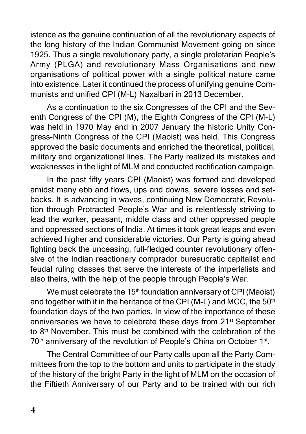istence as the genuine continuation of all the revolutionary aspects of the long history of the Indian Communist Movement going on since 1925. Thus a single revolutionary party, a single proletarian People's Army (PLGA) and revolutionary Mass Organisations and new organisations of political power with a single political nature came into existence. Later it continued the process of unifying genuine Communists and unified CPI (M-L) Naxalbari in 2013 December.

As a continuation to the six Congresses of the CPI and the Seventh Congress of the CPI (M), the Eighth Congress of the CPI (M-L) was held in 1970 May and in 2007 January the historic Unity Congress-Ninth Congress of the CPI (Maoist) was held. This Congress approved the basic documents and enriched the theoretical, political, military and organizational lines. The Party realized its mistakes and weaknesses in the light of MLM and conducted rectification campaign.

In the past fifty years CPI (Maoist) was formed and developed amidst many ebb and flows, ups and downs, severe losses and setbacks. It is advancing in waves, continuing New Democratic Revolution through Protracted People's War and is relentlessly striving to lead the worker, peasant, middle class and other oppressed people and oppressed sections of India. At times it took great leaps and even achieved higher and considerable victories. Our Party is going ahead fighting back the unceasing, full-fledged counter revolutionary offensive of the Indian reactionary comprador bureaucratic capitalist and feudal ruling classes that serve the interests of the imperialists and also theirs, with the help of the people through People's War.

We must celebrate the  $15<sup>th</sup>$  foundation anniversary of CPI (Maoist) and together with it in the heritance of the CPI (M-L) and MCC, the  $50<sup>th</sup>$ foundation days of the two parties. In view of the importance of these anniversaries we have to celebrate these days from 21<sup>st</sup> September to 8<sup>th</sup> November. This must be combined with the celebration of the 70<sup>th</sup> anniversary of the revolution of People's China on October 1<sup>st</sup>.

The Central Committee of our Party calls upon all the Party Committees from the top to the bottom and units to participate in the study of the history of the bright Party in the light of MLM on the occasion of the Fiftieth Anniversary of our Party and to be trained with our rich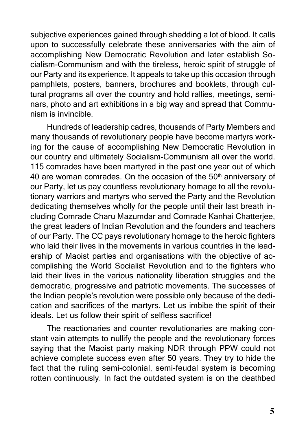subjective experiences gained through shedding a lot of blood. It calls upon to successfully celebrate these anniversaries with the aim of accomplishing New Democratic Revolution and later establish Socialism-Communism and with the tireless, heroic spirit of struggle of our Party and its experience. It appeals to take up this occasion through pamphlets, posters, banners, brochures and booklets, through cultural programs all over the country and hold rallies, meetings, seminars, photo and art exhibitions in a big way and spread that Communism is invincible.

Hundreds of leadership cadres, thousands of Party Members and many thousands of revolutionary people have become martyrs working for the cause of accomplishing New Democratic Revolution in our country and ultimately Socialism-Communism all over the world. 115 comrades have been martyred in the past one year out of which 40 are woman comrades. On the occasion of the  $50<sup>th</sup>$  anniversary of our Party, let us pay countless revolutionary homage to all the revolutionary warriors and martyrs who served the Party and the Revolution dedicating themselves wholly for the people until their last breath including Comrade Charu Mazumdar and Comrade Kanhai Chatterjee, the great leaders of Indian Revolution and the founders and teachers of our Party. The CC pays revolutionary homage to the heroic fighters who laid their lives in the movements in various countries in the leadership of Maoist parties and organisations with the objective of accomplishing the World Socialist Revolution and to the fighters who laid their lives in the various nationality liberation struggles and the democratic, progressive and patriotic movements. The successes of the Indian people's revolution were possible only because of the dedication and sacrifices of the martyrs. Let us imbibe the spirit of their ideals. Let us follow their spirit of selfless sacrifice!

The reactionaries and counter revolutionaries are making constant vain attempts to nullify the people and the revolutionary forces saying that the Maoist party making NDR through PPW could not achieve complete success even after 50 years. They try to hide the fact that the ruling semi-colonial, semi-feudal system is becoming rotten continuously. In fact the outdated system is on the deathbed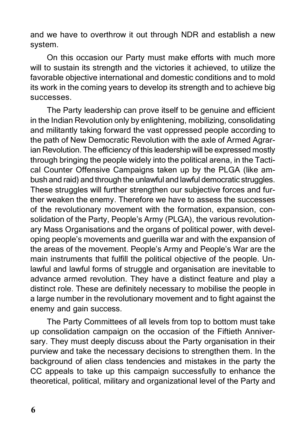and we have to overthrow it out through NDR and establish a new system.

On this occasion our Party must make efforts with much more will to sustain its strength and the victories it achieved, to utilize the favorable objective international and domestic conditions and to mold its work in the coming years to develop its strength and to achieve big successes.

The Party leadership can prove itself to be genuine and efficient in the Indian Revolution only by enlightening, mobilizing, consolidating and militantly taking forward the vast oppressed people according to the path of New Democratic Revolution with the axle of Armed Agrarian Revolution. The efficiency of this leadership will be expressed mostly through bringing the people widely into the political arena, in the Tactical Counter Offensive Campaigns taken up by the PLGA (like ambush and raid) and through the unlawful and lawful democratic struggles. These struggles will further strengthen our subjective forces and further weaken the enemy. Therefore we have to assess the successes of the revolutionary movement with the formation, expansion, consolidation of the Party, People's Army (PLGA), the various revolutionary Mass Organisations and the organs of political power, with developing people's movements and guerilla war and with the expansion of the areas of the movement. People's Army and People's War are the main instruments that fulfill the political objective of the people. Unlawful and lawful forms of struggle and organisation are inevitable to advance armed revolution. They have a distinct feature and play a distinct role. These are definitely necessary to mobilise the people in a large number in the revolutionary movement and to fight against the enemy and gain success.

The Party Committees of all levels from top to bottom must take up consolidation campaign on the occasion of the Fiftieth Anniversary. They must deeply discuss about the Party organisation in their purview and take the necessary decisions to strengthen them. In the background of alien class tendencies and mistakes in the party the CC appeals to take up this campaign successfully to enhance the theoretical, political, military and organizational level of the Party and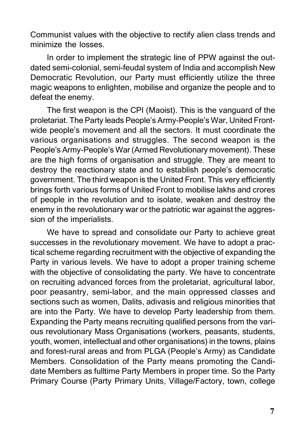Communist values with the objective to rectify alien class trends and minimize the losses.

In order to implement the strategic line of PPW against the outdated semi-colonial, semi-feudal system of India and accomplish New Democratic Revolution, our Party must efficiently utilize the three magic weapons to enlighten, mobilise and organize the people and to defeat the enemy.

The first weapon is the CPI (Maoist). This is the vanguard of the proletariat. The Party leads People's Army-People's War, United Frontwide people's movement and all the sectors. It must coordinate the various organisations and struggles. The second weapon is the People's Army-People's War (Armed Revolutionary movement). These are the high forms of organisation and struggle. They are meant to destroy the reactionary state and to establish people's democratic government. The third weapon is the United Front. This very efficiently brings forth various forms of United Front to mobilise lakhs and crores of people in the revolution and to isolate, weaken and destroy the enemy in the revolutionary war or the patriotic war against the aggression of the imperialists.

We have to spread and consolidate our Party to achieve great successes in the revolutionary movement. We have to adopt a practical scheme regarding recruitment with the objective of expanding the Party in various levels. We have to adopt a proper training scheme with the objective of consolidating the party. We have to concentrate on recruiting advanced forces from the proletariat, agricultural labor, poor peasantry, semi-labor, and the main oppressed classes and sections such as women, Dalits, adivasis and religious minorities that are into the Party. We have to develop Party leadership from them. Expanding the Party means recruiting qualified persons from the various revolutionary Mass Organisations (workers, peasants, students, youth, women, intellectual and other organisations) in the towns, plains and forest-rural areas and from PLGA (People's Army) as Candidate Members. Consolidation of the Party means promoting the Candidate Members as fulltime Party Members in proper time. So the Party Primary Course (Party Primary Units, Village/Factory, town, college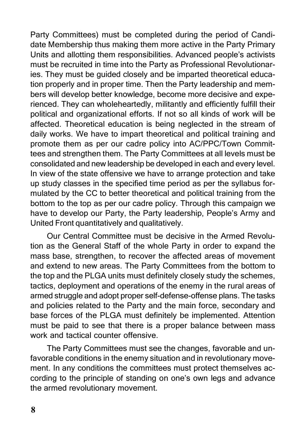Party Committees) must be completed during the period of Candidate Membership thus making them more active in the Party Primary Units and allotting them responsibilities. Advanced people's activists must be recruited in time into the Party as Professional Revolutionaries. They must be guided closely and be imparted theoretical education properly and in proper time. Then the Party leadership and members will develop better knowledge, become more decisive and experienced. They can wholeheartedly, militantly and efficiently fulfill their political and organizational efforts. If not so all kinds of work will be affected. Theoretical education is being neglected in the stream of daily works. We have to impart theoretical and political training and promote them as per our cadre policy into AC/PPC/Town Committees and strengthen them. The Party Committees at all levels must be consolidated and new leadership be developed in each and every level. In view of the state offensive we have to arrange protection and take up study classes in the specified time period as per the syllabus formulated by the CC to better theoretical and political training from the bottom to the top as per our cadre policy. Through this campaign we have to develop our Party, the Party leadership, People's Army and United Front quantitatively and qualitatively.

Our Central Committee must be decisive in the Armed Revolution as the General Staff of the whole Party in order to expand the mass base, strengthen, to recover the affected areas of movement and extend to new areas. The Party Committees from the bottom to the top and the PLGA units must definitely closely study the schemes, tactics, deployment and operations of the enemy in the rural areas of armed struggle and adopt proper self-defense-offense plans. The tasks and policies related to the Party and the main force, secondary and base forces of the PLGA must definitely be implemented. Attention must be paid to see that there is a proper balance between mass work and tactical counter offensive.

The Party Committees must see the changes, favorable and unfavorable conditions in the enemy situation and in revolutionary movement. In any conditions the committees must protect themselves according to the principle of standing on one's own legs and advance the armed revolutionary movement.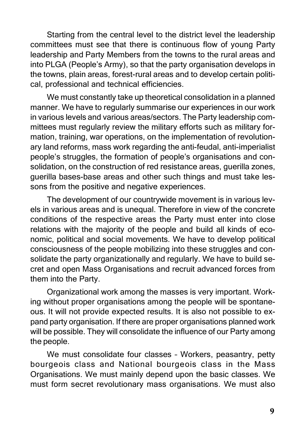Starting from the central level to the district level the leadership committees must see that there is continuous flow of young Party leadership and Party Members from the towns to the rural areas and into PLGA (People's Army), so that the party organisation develops in the towns, plain areas, forest-rural areas and to develop certain political, professional and technical efficiencies.

We must constantly take up theoretical consolidation in a planned manner. We have to regularly summarise our experiences in our work in various levels and various areas/sectors. The Party leadership committees must regularly review the military efforts such as military formation, training, war operations, on the implementation of revolutionary land reforms, mass work regarding the anti-feudal, anti-imperialist people's struggles, the formation of people's organisations and consolidation, on the construction of red resistance areas, guerilla zones, guerilla bases-base areas and other such things and must take lessons from the positive and negative experiences.

The development of our countrywide movement is in various levels in various areas and is unequal. Therefore in view of the concrete conditions of the respective areas the Party must enter into close relations with the majority of the people and build all kinds of economic, political and social movements. We have to develop political consciousness of the people mobilizing into these struggles and consolidate the party organizationally and regularly. We have to build secret and open Mass Organisations and recruit advanced forces from them into the Party.

Organizational work among the masses is very important. Working without proper organisations among the people will be spontaneous. It will not provide expected results. It is also not possible to expand party organisation. If there are proper organisations planned work will be possible. They will consolidate the influence of our Party among the people.

We must consolidate four classes – Workers, peasantry, petty bourgeois class and National bourgeois class in the Mass Organisations. We must mainly depend upon the basic classes. We must form secret revolutionary mass organisations. We must also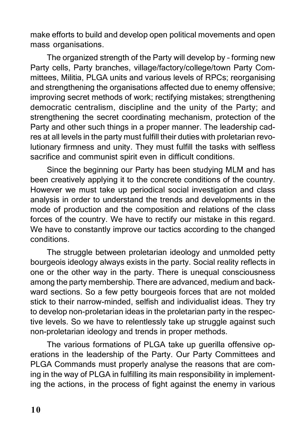make efforts to build and develop open political movements and open mass organisations.

The organized strength of the Party will develop by – forming new Party cells, Party branches, village/factory/college/town Party Committees, Militia, PLGA units and various levels of RPCs; reorganising and strengthening the organisations affected due to enemy offensive; improving secret methods of work; rectifying mistakes; strengthening democratic centralism, discipline and the unity of the Party; and strengthening the secret coordinating mechanism, protection of the Party and other such things in a proper manner. The leadership cadres at all levels in the party must fulfill their duties with proletarian revolutionary firmness and unity. They must fulfill the tasks with selfless sacrifice and communist spirit even in difficult conditions.

Since the beginning our Party has been studying MLM and has been creatively applying it to the concrete conditions of the country. However we must take up periodical social investigation and class analysis in order to understand the trends and developments in the mode of production and the composition and relations of the class forces of the country. We have to rectify our mistake in this regard. We have to constantly improve our tactics according to the changed conditions.

The struggle between proletarian ideology and unmolded petty bourgeois ideology always exists in the party. Social reality reflects in one or the other way in the party. There is unequal consciousness among the party membership. There are advanced, medium and backward sections. So a few petty bourgeois forces that are not molded stick to their narrow-minded, selfish and individualist ideas. They try to develop non-proletarian ideas in the proletarian party in the respective levels. So we have to relentlessly take up struggle against such non-proletarian ideology and trends in proper methods.

The various formations of PLGA take up guerilla offensive operations in the leadership of the Party. Our Party Committees and PLGA Commands must properly analyse the reasons that are coming in the way of PLGA in fulfilling its main responsibility in implementing the actions, in the process of fight against the enemy in various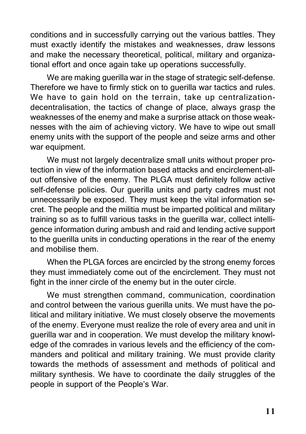conditions and in successfully carrying out the various battles. They must exactly identify the mistakes and weaknesses, draw lessons and make the necessary theoretical, political, military and organizational effort and once again take up operations successfully.

We are making guerilla war in the stage of strategic self-defense. Therefore we have to firmly stick on to guerilla war tactics and rules. We have to gain hold on the terrain, take up centralizationdecentralisation, the tactics of change of place, always grasp the weaknesses of the enemy and make a surprise attack on those weaknesses with the aim of achieving victory. We have to wipe out small enemy units with the support of the people and seize arms and other war equipment.

We must not largely decentralize small units without proper protection in view of the information based attacks and encirclement-allout offensive of the enemy. The PLGA must definitely follow active self-defense policies. Our guerilla units and party cadres must not unnecessarily be exposed. They must keep the vital information secret. The people and the militia must be imparted political and military training so as to fulfill various tasks in the guerilla war, collect intelligence information during ambush and raid and lending active support to the guerilla units in conducting operations in the rear of the enemy and mobilise them.

When the PLGA forces are encircled by the strong enemy forces they must immediately come out of the encirclement. They must not fight in the inner circle of the enemy but in the outer circle.

We must strengthen command, communication, coordination and control between the various guerilla units. We must have the political and military initiative. We must closely observe the movements of the enemy. Everyone must realize the role of every area and unit in guerilla war and in cooperation. We must develop the military knowledge of the comrades in various levels and the efficiency of the commanders and political and military training. We must provide clarity towards the methods of assessment and methods of political and military synthesis. We have to coordinate the daily struggles of the people in support of the People's War.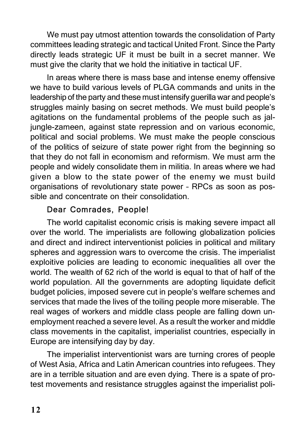We must pay utmost attention towards the consolidation of Party committees leading strategic and tactical United Front. Since the Party directly leads strategic UF it must be built in a secret manner. We must give the clarity that we hold the initiative in tactical UF.

In areas where there is mass base and intense enemy offensive we have to build various levels of PLGA commands and units in the leadership of the party and these must intensify guerilla war and people's struggles mainly basing on secret methods. We must build people's agitations on the fundamental problems of the people such as jaljungle-zameen, against state repression and on various economic, political and social problems. We must make the people conscious of the politics of seizure of state power right from the beginning so that they do not fall in economism and reformism. We must arm the people and widely consolidate them in militia. In areas where we had given a blow to the state power of the enemy we must build organisations of revolutionary state power – RPCs as soon as possible and concentrate on their consolidation.

## Dear Comrades, People!

The world capitalist economic crisis is making severe impact all over the world. The imperialists are following globalization policies and direct and indirect interventionist policies in political and military spheres and aggression wars to overcome the crisis. The imperialist exploitive policies are leading to economic inequalities all over the world. The wealth of 62 rich of the world is equal to that of half of the world population. All the governments are adopting liquidate deficit budget policies, imposed severe cut in people's welfare schemes and services that made the lives of the toiling people more miserable. The real wages of workers and middle class people are falling down unemployment reached a severe level. As a result the worker and middle class movements in the capitalist, imperialist countries, especially in Europe are intensifying day by day.

The imperialist interventionist wars are turning crores of people of West Asia, Africa and Latin American countries into refugees. They are in a terrible situation and are even dying. There is a spate of protest movements and resistance struggles against the imperialist poli-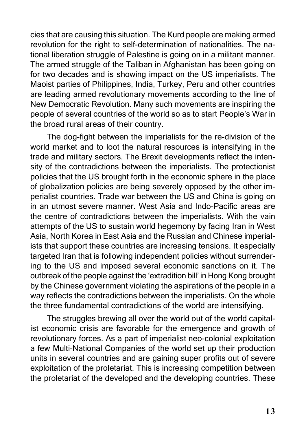cies that are causing this situation. The Kurd people are making armed revolution for the right to self-determination of nationalities. The national liberation struggle of Palestine is going on in a militant manner. The armed struggle of the Taliban in Afghanistan has been going on for two decades and is showing impact on the US imperialists. The Maoist parties of Philippines, India, Turkey, Peru and other countries are leading armed revolutionary movements according to the line of New Democratic Revolution. Many such movements are inspiring the people of several countries of the world so as to start People's War in the broad rural areas of their country.

The dog-fight between the imperialists for the re-division of the world market and to loot the natural resources is intensifying in the trade and military sectors. The Brexit developments reflect the intensity of the contradictions between the imperialists. The protectionist policies that the US brought forth in the economic sphere in the place of globalization policies are being severely opposed by the other imperialist countries. Trade war between the US and China is going on in an utmost severe manner. West Asia and Indo-Pacific areas are the centre of contradictions between the imperialists. With the vain attempts of the US to sustain world hegemony by facing Iran in West Asia, North Korea in East Asia and the Russian and Chinese imperialists that support these countries are increasing tensions. It especially targeted Iran that is following independent policies without surrendering to the US and imposed several economic sanctions on it. The outbreak of the people against the 'extradition bill' in Hong Kong brought by the Chinese government violating the aspirations of the people in a way reflects the contradictions between the imperialists. On the whole the three fundamental contradictions of the world are intensifying.

The struggles brewing all over the world out of the world capitalist economic crisis are favorable for the emergence and growth of revolutionary forces. As a part of imperialist neo-colonial exploitation a few Multi-National Companies of the world set up their production units in several countries and are gaining super profits out of severe exploitation of the proletariat. This is increasing competition between the proletariat of the developed and the developing countries. These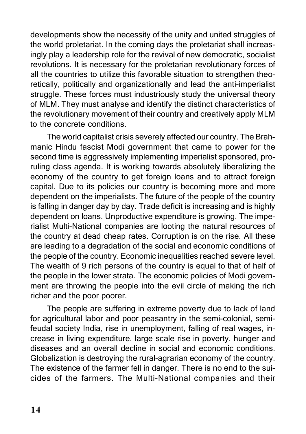developments show the necessity of the unity and united struggles of the world proletariat. In the coming days the proletariat shall increasingly play a leadership role for the revival of new democratic, socialist revolutions. It is necessary for the proletarian revolutionary forces of all the countries to utilize this favorable situation to strengthen theoretically, politically and organizationally and lead the anti-imperialist struggle. These forces must industriously study the universal theory of MLM. They must analyse and identify the distinct characteristics of the revolutionary movement of their country and creatively apply MLM to the concrete conditions.

The world capitalist crisis severely affected our country. The Brahmanic Hindu fascist Modi government that came to power for the second time is aggressively implementing imperialist sponsored, proruling class agenda. It is working towards absolutely liberalizing the economy of the country to get foreign loans and to attract foreign capital. Due to its policies our country is becoming more and more dependent on the imperialists. The future of the people of the country is falling in danger day by day. Trade deficit is increasing and is highly dependent on loans. Unproductive expenditure is growing. The imperialist Multi-National companies are looting the natural resources of the country at dead cheap rates. Corruption is on the rise. All these are leading to a degradation of the social and economic conditions of the people of the country. Economic inequalities reached severe level. The wealth of 9 rich persons of the country is equal to that of half of the people in the lower strata. The economic policies of Modi government are throwing the people into the evil circle of making the rich richer and the poor poorer.

The people are suffering in extreme poverty due to lack of land for agricultural labor and poor peasantry in the semi-colonial, semifeudal society India, rise in unemployment, falling of real wages, increase in living expenditure, large scale rise in poverty, hunger and diseases and an overall decline in social and economic conditions. Globalization is destroying the rural-agrarian economy of the country. The existence of the farmer fell in danger. There is no end to the suicides of the farmers. The Multi-National companies and their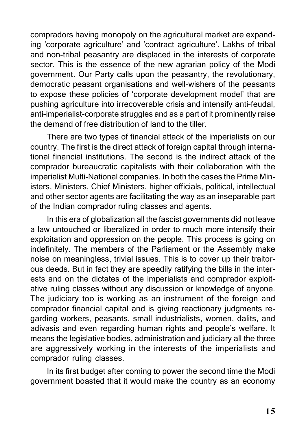compradors having monopoly on the agricultural market are expanding 'corporate agriculture' and 'contract agriculture'. Lakhs of tribal and non-tribal peasantry are displaced in the interests of corporate sector. This is the essence of the new agrarian policy of the Modi government. Our Party calls upon the peasantry, the revolutionary, democratic peasant organisations and well-wishers of the peasants to expose these policies of 'corporate development model' that are pushing agriculture into irrecoverable crisis and intensify anti-feudal, anti-imperialist-corporate struggles and as a part of it prominently raise the demand of free distribution of land to the tiller.

There are two types of financial attack of the imperialists on our country. The first is the direct attack of foreign capital through international financial institutions. The second is the indirect attack of the comprador bureaucratic capitalists with their collaboration with the imperialist Multi-National companies. In both the cases the Prime Ministers, Ministers, Chief Ministers, higher officials, political, intellectual and other sector agents are facilitating the way as an inseparable part of the Indian comprador ruling classes and agents.

In this era of globalization all the fascist governments did not leave a law untouched or liberalized in order to much more intensify their exploitation and oppression on the people. This process is going on indefinitely. The members of the Parliament or the Assembly make noise on meaningless, trivial issues. This is to cover up their traitorous deeds. But in fact they are speedily ratifying the bills in the interests and on the dictates of the imperialists and comprador exploitative ruling classes without any discussion or knowledge of anyone. The judiciary too is working as an instrument of the foreign and comprador financial capital and is giving reactionary judgments regarding workers, peasants, small industrialists, women, dalits, and adivasis and even regarding human rights and people's welfare. It means the legislative bodies, administration and judiciary all the three are aggressively working in the interests of the imperialists and comprador ruling classes.

In its first budget after coming to power the second time the Modi government boasted that it would make the country as an economy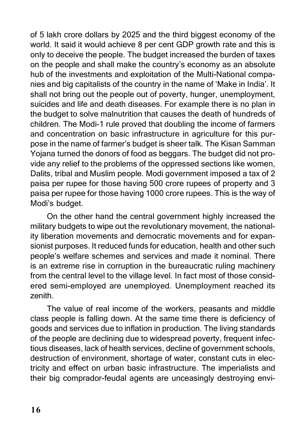of 5 lakh crore dollars by 2025 and the third biggest economy of the world. It said it would achieve 8 per cent GDP growth rate and this is only to deceive the people. The budget increased the burden of taxes on the people and shall make the country's economy as an absolute hub of the investments and exploitation of the Multi-National companies and big capitalists of the country in the name of 'Make in India'. It shall not bring out the people out of poverty, hunger, unemployment, suicides and life and death diseases. For example there is no plan in the budget to solve malnutrition that causes the death of hundreds of children. The Modi-1 rule proved that doubling the income of farmers and concentration on basic infrastructure in agriculture for this purpose in the name of farmer's budget is sheer talk. The Kisan Samman Yojana turned the donors of food as beggars. The budget did not provide any relief to the problems of the oppressed sections like women, Dalits, tribal and Muslim people. Modi government imposed a tax of 2 paisa per rupee for those having 500 crore rupees of property and 3 paisa per rupee for those having 1000 crore rupees. This is the way of Modi's budget.

On the other hand the central government highly increased the military budgets to wipe out the revolutionary movement, the nationality liberation movements and democratic movements and for expansionist purposes. It reduced funds for education, health and other such people's welfare schemes and services and made it nominal. There is an extreme rise in corruption in the bureaucratic ruling machinery from the central level to the village level. In fact most of those considered semi-employed are unemployed. Unemployment reached its zenith.

The value of real income of the workers, peasants and middle class people is falling down. At the same time there is deficiency of goods and services due to inflation in production. The living standards of the people are declining due to widespread poverty, frequent infectious diseases, lack of health services, decline of government schools, destruction of environment, shortage of water, constant cuts in electricity and effect on urban basic infrastructure. The imperialists and their big comprador-feudal agents are unceasingly destroying envi-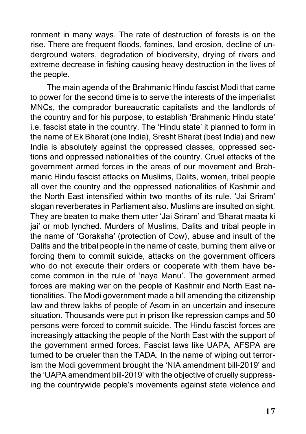ronment in many ways. The rate of destruction of forests is on the rise. There are frequent floods, famines, land erosion, decline of underground waters, degradation of biodiversity, drying of rivers and extreme decrease in fishing causing heavy destruction in the lives of the people.

The main agenda of the Brahmanic Hindu fascist Modi that came to power for the second time is to serve the interests of the imperialist MNCs, the comprador bureaucratic capitalists and the landlords of the country and for his purpose, to establish 'Brahmanic Hindu state' i.e. fascist state in the country. The 'Hindu state' it planned to form in the name of Ek Bharat (one India), Sresht Bharat (best India) and new India is absolutely against the oppressed classes, oppressed sections and oppressed nationalities of the country. Cruel attacks of the government armed forces in the areas of our movement and Brahmanic Hindu fascist attacks on Muslims, Dalits, women, tribal people all over the country and the oppressed nationalities of Kashmir and the North East intensified within two months of its rule. 'Jai Sriram' slogan reverberates in Parliament also. Muslims are insulted on sight. They are beaten to make them utter 'Jai Sriram' and 'Bharat maata ki jai' or mob lynched. Murders of Muslims, Dalits and tribal people in the name of 'Goraksha' (protection of Cow), abuse and insult of the Dalits and the tribal people in the name of caste, burning them alive or forcing them to commit suicide, attacks on the government officers who do not execute their orders or cooperate with them have become common in the rule of 'naya Manu'. The government armed forces are making war on the people of Kashmir and North East nationalities. The Modi government made a bill amending the citizenship law and threw lakhs of people of Asom in an uncertain and insecure situation. Thousands were put in prison like repression camps and 50 persons were forced to commit suicide. The Hindu fascist forces are increasingly attacking the people of the North East with the support of the government armed forces. Fascist laws like UAPA, AFSPA are turned to be crueler than the TADA. In the name of wiping out terrorism the Modi government brought the 'NIA amendment bill-2019' and the 'UAPA amendment bill-2019' with the objective of cruelly suppressing the countrywide people's movements against state violence and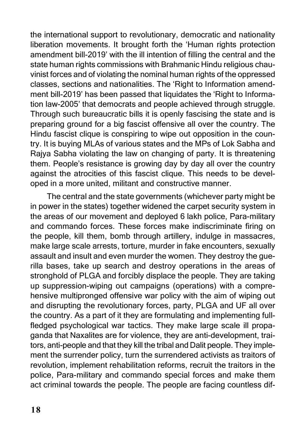the international support to revolutionary, democratic and nationality liberation movements. It brought forth the 'Human rights protection amendment bill-2019' with the ill intention of filling the central and the state human rights commissions with Brahmanic Hindu religious chauvinist forces and of violating the nominal human rights of the oppressed classes, sections and nationalities. The 'Right to Information amendment bill-2019' has been passed that liquidates the 'Right to Information law-2005' that democrats and people achieved through struggle. Through such bureaucratic bills it is openly fascising the state and is preparing ground for a big fascist offensive all over the country. The Hindu fascist clique is conspiring to wipe out opposition in the country. It is buying MLAs of various states and the MPs of Lok Sabha and Rajya Sabha violating the law on changing of party. It is threatening them. People's resistance is growing day by day all over the country against the atrocities of this fascist clique. This needs to be developed in a more united, militant and constructive manner.

The central and the state governments (whichever party might be in power in the states) together widened the carpet security system in the areas of our movement and deployed 6 lakh police, Para-military and commando forces. These forces make indiscriminate firing on the people, kill them, bomb through artillery, indulge in massacres, make large scale arrests, torture, murder in fake encounters, sexually assault and insult and even murder the women. They destroy the guerilla bases, take up search and destroy operations in the areas of stronghold of PLGA and forcibly displace the people. They are taking up suppression-wiping out campaigns (operations) with a comprehensive multipronged offensive war policy with the aim of wiping out and disrupting the revolutionary forces, party, PLGA and UF all over the country. As a part of it they are formulating and implementing fullfledged psychological war tactics. They make large scale ill propaganda that Naxalites are for violence, they are anti-development, traitors, anti-people and that they kill the tribal and Dalit people. They implement the surrender policy, turn the surrendered activists as traitors of revolution, implement rehabilitation reforms, recruit the traitors in the police, Para-military and commando special forces and make them act criminal towards the people. The people are facing countless dif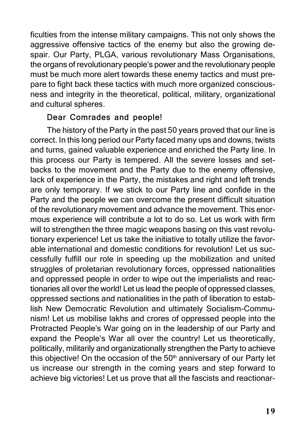ficulties from the intense military campaigns. This not only shows the aggressive offensive tactics of the enemy but also the growing despair. Our Party, PLGA, various revolutionary Mass Organisations, the organs of revolutionary people's power and the revolutionary people must be much more alert towards these enemy tactics and must prepare to fight back these tactics with much more organized consciousness and integrity in the theoretical, political, military, organizational and cultural spheres.

## Dear Comrades and people!

The history of the Party in the past 50 years proved that our line is correct. In this long period our Party faced many ups and downs, twists and turns, gained valuable experience and enriched the Party line. In this process our Party is tempered. All the severe losses and setbacks to the movement and the Party due to the enemy offensive, lack of experience in the Party, the mistakes and right and left trends are only temporary. If we stick to our Party line and confide in the Party and the people we can overcome the present difficult situation of the revolutionary movement and advance the movement. This enormous experience will contribute a lot to do so. Let us work with firm will to strengthen the three magic weapons basing on this vast revolutionary experience! Let us take the initiative to totally utilize the favorable international and domestic conditions for revolution! Let us successfully fulfill our role in speeding up the mobilization and united struggles of proletarian revolutionary forces, oppressed nationalities and oppressed people in order to wipe out the imperialists and reactionaries all over the world! Let us lead the people of oppressed classes, oppressed sections and nationalities in the path of liberation to establish New Democratic Revolution and ultimately Socialism-Communism! Let us mobilise lakhs and crores of oppressed people into the Protracted People's War going on in the leadership of our Party and expand the People's War all over the country! Let us theoretically, politically, militarily and organizationally strengthen the Party to achieve this objective! On the occasion of the  $50<sup>th</sup>$  anniversary of our Party let us increase our strength in the coming years and step forward to achieve big victories! Let us prove that all the fascists and reactionar-